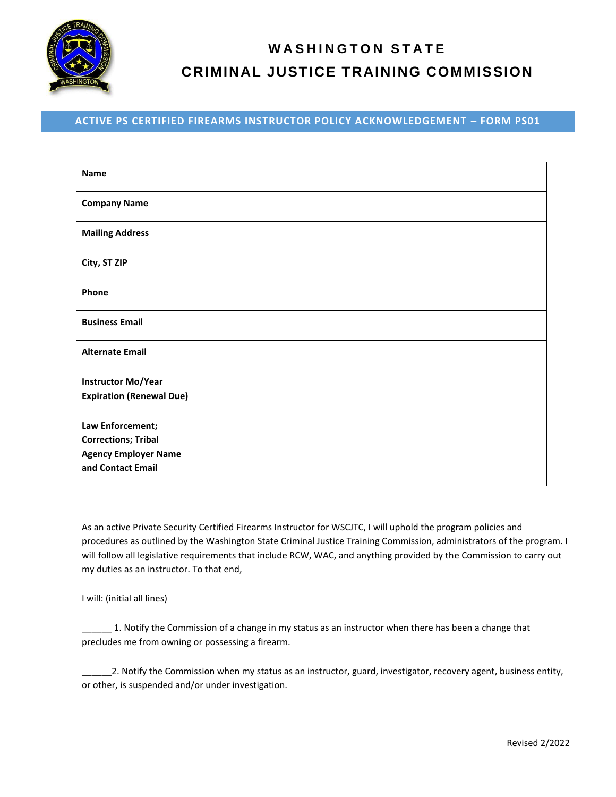

## **W A S H I N G T O N S T A T E CRIMINAL JUSTICE TRAINING COMMISSION**

## **ACTIVE PS CERTIFIED FIREARMS INSTRUCTOR POLICY ACKNOWLEDGEMENT – FORM PS01**

| <b>Name</b>                                                                                        |  |
|----------------------------------------------------------------------------------------------------|--|
| <b>Company Name</b>                                                                                |  |
| <b>Mailing Address</b>                                                                             |  |
| City, ST ZIP                                                                                       |  |
| Phone                                                                                              |  |
| <b>Business Email</b>                                                                              |  |
| <b>Alternate Email</b>                                                                             |  |
| <b>Instructor Mo/Year</b><br><b>Expiration (Renewal Due)</b>                                       |  |
| Law Enforcement;<br><b>Corrections; Tribal</b><br><b>Agency Employer Name</b><br>and Contact Email |  |

As an active Private Security Certified Firearms Instructor for WSCJTC, I will uphold the program policies and procedures as outlined by the Washington State Criminal Justice Training Commission, administrators of the program. I will follow all legislative requirements that include RCW, WAC, and anything provided by the Commission to carry out my duties as an instructor. To that end,

I will: (initial all lines)

1. Notify the Commission of a change in my status as an instructor when there has been a change that precludes me from owning or possessing a firearm.

\_\_\_\_\_\_2. Notify the Commission when my status as an instructor, guard, investigator, recovery agent, business entity, or other, is suspended and/or under investigation.